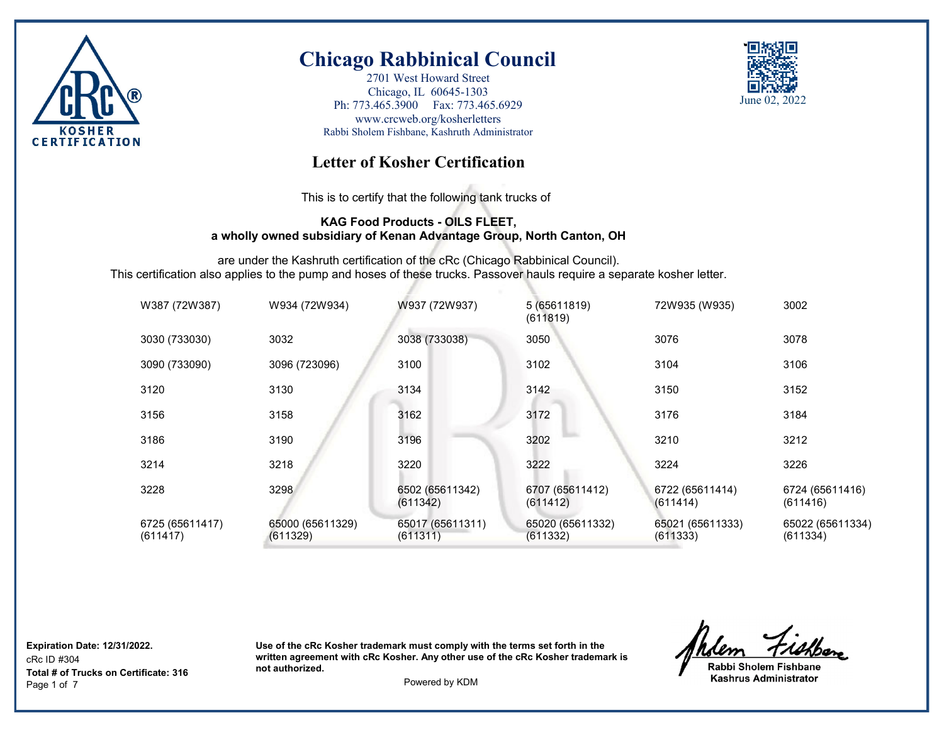

2701 West Howard Street Chicago, IL 60645-1303 Ph: 773.465.3900 Fax: 773.465.6929 www.crcweb.org/kosherletters Rabbi Sholem Fishbane, Kashruth Administrator



## **Letter of Kosher Certification**

This is to certify that the following tank trucks of

### **KAG Food Products - OILS FLEET, a wholly owned subsidiary of Kenan Advantage Group, North Canton, OH**

are under the Kashruth certification of the cRc (Chicago Rabbinical Council). This certification also applies to the pump and hoses of these trucks. Passover hauls require a separate kosher letter.

| W387 (72W387)               | W934 (72W934)                | W937 (72W937)                | 5 (65611819)<br>(611819)     | 72W935 (W935)                | 3002                         |
|-----------------------------|------------------------------|------------------------------|------------------------------|------------------------------|------------------------------|
| 3030 (733030)               | 3032                         | 3038 (733038)                | 3050                         | 3076                         | 3078                         |
| 3090 (733090)               | 3096 (723096)                | 3100                         | 3102                         | 3104                         | 3106                         |
| 3120                        | 3130                         | 3134                         | 3142                         | 3150                         | 3152                         |
| 3156                        | 3158                         | 3162                         | 3172                         | 3176                         | 3184                         |
| 3186                        | 3190                         | 3196                         | 3202                         | 3210                         | 3212                         |
| 3214                        | 3218                         | 3220                         | 3222                         | 3224                         | 3226                         |
| 3228                        | 3298                         | 6502 (65611342)<br>(611342)  | 6707 (65611412)<br>(611412)  | 6722 (65611414)<br>(611414)  | 6724 (65611416)<br>(611416)  |
| 6725 (65611417)<br>(611417) | 65000 (65611329)<br>(611329) | 65017 (65611311)<br>(611311) | 65020 (65611332)<br>(611332) | 65021 (65611333)<br>(611333) | 65022 (65611334)<br>(611334) |

**Expiration Date: 12/31/2022.**

cRc ID #304 Page 1 of 7 Powered by KDM **Total # of Trucks on Certificate: 316**

Rabbi Sholem Fishbane **Kashrus Administrator**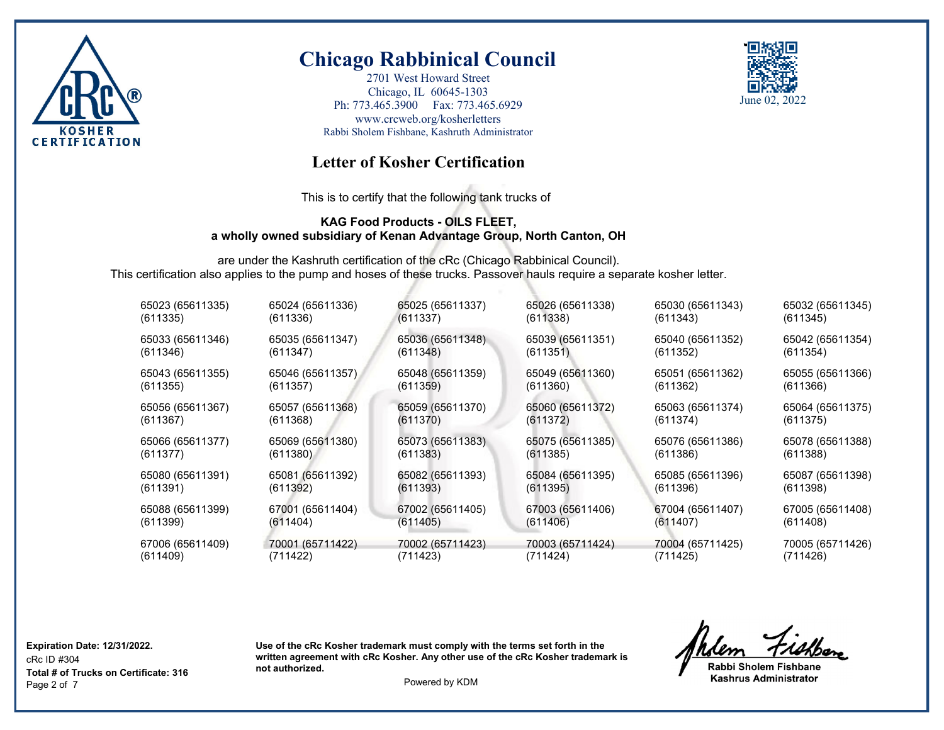

2701 West Howard Street Chicago, IL 60645-1303 Ph: 773.465.3900 Fax: 773.465.6929 www.crcweb.org/kosherletters Rabbi Sholem Fishbane, Kashruth Administrator



## **Letter of Kosher Certification**

This is to certify that the following tank trucks of

#### **KAG Food Products - OILS FLEET, a wholly owned subsidiary of Kenan Advantage Group, North Canton, OH**

are under the Kashruth certification of the cRc (Chicago Rabbinical Council). This certification also applies to the pump and hoses of these trucks. Passover hauls require a separate kosher letter.

| 65023 (65611335) | 65024 (65611336) | 65025 (65611337) | 65026 (65611338) | 65030 (65611343) | 65032 (65611345) |
|------------------|------------------|------------------|------------------|------------------|------------------|
| (611335)         | (611336)         | (611337)         | (611338)         | (611343)         | (611345)         |
| 65033 (65611346) | 65035 (65611347) | 65036 (65611348) | 65039 (65611351) | 65040 (65611352) | 65042 (65611354) |
| (611346)         | (611347)         | (611348)         | (611351)         | (611352)         | (611354)         |
| 65043 (65611355) | 65046 (65611357) | 65048 (65611359) | 65049 (65611360) | 65051 (65611362) | 65055 (65611366) |
| (611355)         | (611357)         | (611359)         | (611360)         | (611362)         | (611366)         |
| 65056 (65611367) | 65057 (65611368) | 65059 (65611370) | 65060 (65611372) | 65063 (65611374) | 65064 (65611375) |
| (611367)         | (611368)         | (611370)         | (611372)         | (611374)         | (611375)         |
| 65066 (65611377) | 65069 (65611380) | 65073 (65611383) | 65075 (65611385) | 65076 (65611386) | 65078 (65611388) |
| (611377)         | (611380)         | (611383)         | (611385)         | (611386)         | (611388)         |
| 65080 (65611391) | 65081 (65611392) | 65082 (65611393) | 65084 (65611395) | 65085 (65611396) | 65087 (65611398) |
| (611391)         | (611392)         | (611393)         | (611395)         | (611396)         | (611398)         |
| 65088 (65611399) | 67001 (65611404) | 67002 (65611405) | 67003 (65611406) | 67004 (65611407) | 67005 (65611408) |
| (611399)         | (611404)         | (611405)         | (611406)         | (611407)         | (611408)         |
| 67006 (65611409) | 70001 (65711422) | 70002 (65711423) | 70003 (65711424) | 70004 (65711425) | 70005 (65711426) |
| (611409)         | (711422)         | (711423)         | (711424)         | (711425)         | (711426)         |

**Expiration Date: 12/31/2022.**

cRc ID #304 Page 2 of 7 Powered by KDM **Total # of Trucks on Certificate: 316**

Rabbi Sholem Fishbane **Kashrus Administrator**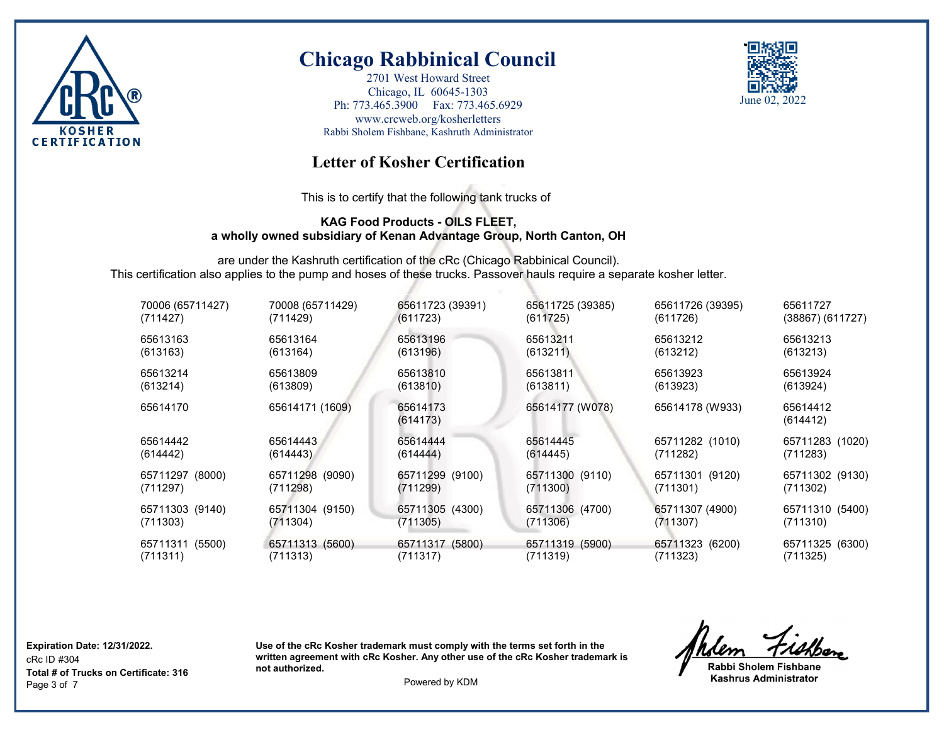

2701 West Howard Street Chicago, IL 60645-1303 Ph: 773.465.3900 Fax: 773.465.6929 www.crcweb.org/kosherletters Rabbi Sholem Fishbane, Kashruth Administrator



## **Letter of Kosher Certification**

This is to certify that the following tank trucks of

### **KAG Food Products - OILS FLEET, a wholly owned subsidiary of Kenan Advantage Group, North Canton, OH**

are under the Kashruth certification of the cRc (Chicago Rabbinical Council). This certification also applies to the pump and hoses of these trucks. Passover hauls require a separate kosher letter.

| 70006 (65711427) | 70008 (65711429) | 65611723 (39391)     | 65611725 (39385) | 65611726 (39395) | 65611727             |
|------------------|------------------|----------------------|------------------|------------------|----------------------|
| (711427)         | (711429)         | (611723)             | (611725)         | (611726)         | $(38867)$ $(611727)$ |
| 65613163         | 65613164         | 65613196             | 65613211         | 65613212         | 65613213             |
| (613163)         | (613164)         | (613196)             | (613211)         | (613212)         | (613213)             |
| 65613214         | 65613809         | 65613810             | 65613811         | 65613923         | 65613924             |
| (613214)         | (613809)         | (613810)             | (613811)         | (613923)         | (613924)             |
| 65614170         | 65614171 (1609)  | 65614173<br>(614173) | 65614177 (W078)  | 65614178 (W933)  | 65614412<br>(614412) |
| 65614442         | 65614443         | 65614444             | 65614445         | 65711282 (1010)  | 65711283 (1020)      |
| (614442)         | (614443)         | (614444)             | (614445)         | (711282)         | (711283)             |
| 65711297 (8000)  | 65711298 (9090)  | 65711299 (9100)      | 65711300 (9110)  | 65711301 (9120)  | 65711302 (9130)      |
| (711297)         | (711298)         | (711299)             | (711300)         | (711301)         | (711302)             |
| 65711303 (9140)  | 65711304 (9150)  | 65711305 (4300)      | 65711306 (4700)  | 65711307 (4900)  | 65711310 (5400)      |
| (711303)         | (711304)         | (711305)             | (711306)         | (711307)         | (711310)             |
| 65711311 (5500)  | 65711313 (5600)  | 65711317 (5800)      | 65711319 (5900)  | 65711323 (6200)  | 65711325 (6300)      |
| (711311)         | (711313)         | (711317)             | (711319)         | (711323)         | (711325)             |

**Expiration Date: 12/31/2022.**

cRc ID #304 Page 3 of 7 Powered by KDM **Total # of Trucks on Certificate: 316**

Rabbi Sholem Fishbane **Kashrus Administrator**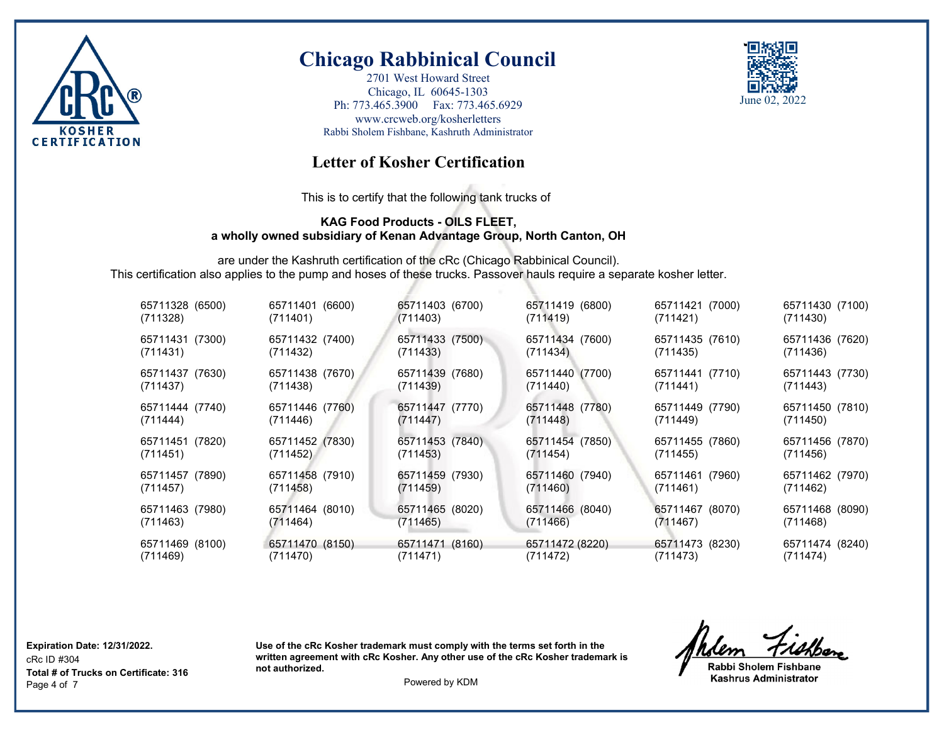

2701 West Howard Street Chicago, IL 60645-1303 Ph: 773.465.3900 Fax: 773.465.6929 www.crcweb.org/kosherletters Rabbi Sholem Fishbane, Kashruth Administrator



## **Letter of Kosher Certification**

This is to certify that the following tank trucks of

#### **KAG Food Products - OILS FLEET, a wholly owned subsidiary of Kenan Advantage Group, North Canton, OH**

are under the Kashruth certification of the cRc (Chicago Rabbinical Council). This certification also applies to the pump and hoses of these trucks. Passover hauls require a separate kosher letter.

| 65711328 (6500) | 65711401 (6600) | 65711403 (6700) | 65711419 (6800) | 65711421 (7000) | 65711430 (7100) |
|-----------------|-----------------|-----------------|-----------------|-----------------|-----------------|
| (711328)        | (711401)        | (711403)        | (711419)        | (711421)        | (711430)        |
| 65711431 (7300) | 65711432 (7400) | 65711433 (7500) | 65711434 (7600) | 65711435 (7610) | 65711436 (7620) |
| (711431)        | (711432)        | (711433)        | (711434)        | (711435)        | (711436)        |
| 65711437 (7630) | 65711438 (7670) | 65711439 (7680) | 65711440 (7700) | 65711441 (7710) | 65711443 (7730) |
| (711437)        | (711438)        | (711439)        | (711440)        | (711441)        | (711443)        |
| 65711444 (7740) | 65711446 (7760) | 65711447 (7770) | 65711448 (7780) | 65711449 (7790) | 65711450 (7810) |
| (711444)        | (711446)        | (711447)        | (711448)        | (711449)        | (711450)        |
| 65711451 (7820) | 65711452 (7830) | 65711453 (7840) | 65711454 (7850) | 65711455 (7860) | 65711456 (7870) |
| (711451)        | (711452)        | (711453)        | (711454)        | (711455)        | (711456)        |
| 65711457 (7890) | 65711458 (7910) | 65711459 (7930) | 65711460 (7940) | 65711461 (7960) | 65711462 (7970) |
| (711457)        | (711458)        | (711459)        | (711460)        | (711461)        | (711462)        |
| 65711463 (7980) | 65711464 (8010) | 65711465 (8020) | 65711466 (8040) | 65711467 (8070) | 65711468 (8090) |
| (711463)        | (711464)        | (711465)        | (711466)        | (711467)        | (711468)        |
| 65711469 (8100) | 65711470 (8150) | 65711471 (8160) | 65711472 (8220) | 65711473 (8230) | 65711474 (8240) |
| (711469)        | (711470)        | (711471)        | (711472)        | (711473)        | (711474)        |

**Expiration Date: 12/31/2022.**

cRc ID #304 Page 4 of 7 Powered by KDM **Total # of Trucks on Certificate: 316**

Rabbi Sholem Fishbane **Kashrus Administrator**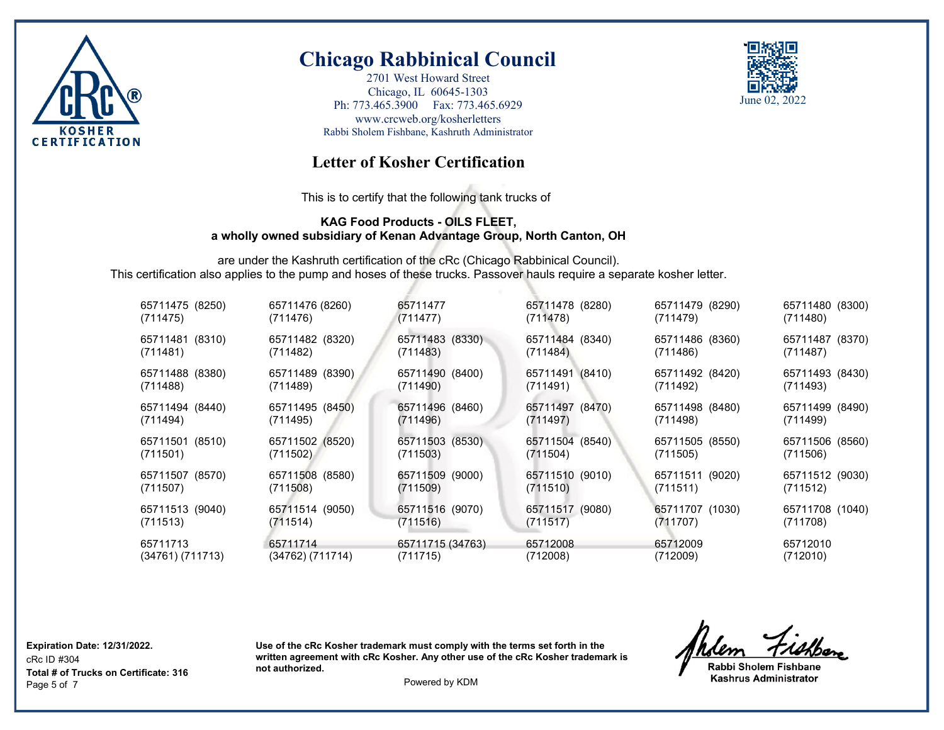

2701 West Howard Street Chicago, IL 60645-1303 Ph: 773.465.3900 Fax: 773.465.6929 www.crcweb.org/kosherletters Rabbi Sholem Fishbane, Kashruth Administrator



## **Letter of Kosher Certification**

This is to certify that the following tank trucks of

#### **KAG Food Products - OILS FLEET, a wholly owned subsidiary of Kenan Advantage Group, North Canton, OH**

are under the Kashruth certification of the cRc (Chicago Rabbinical Council). This certification also applies to the pump and hoses of these trucks. Passover hauls require a separate kosher letter.

| 65711475 (8250)  | 65711476 (8260)  | 65711477         | 65711478 (8280) | 65711479 (8290) | 65711480 (8300) |
|------------------|------------------|------------------|-----------------|-----------------|-----------------|
| (711475)         | (711476)         | (711477)         | (711478)        | (711479)        | (711480)        |
| 65711481 (8310)  | 65711482 (8320)  | 65711483 (8330)  | 65711484 (8340) | 65711486 (8360) | 65711487 (8370) |
| (711481)         | (711482)         | (711483)         | (711484)        | (711486)        | (711487)        |
| 65711488 (8380)  | 65711489 (8390)  | 65711490 (8400)  | 65711491 (8410) | 65711492 (8420) | 65711493 (8430) |
| (711488)         | (711489)         | (711490)         | (711491)        | (711492)        | (711493)        |
| 65711494 (8440)  | 65711495 (8450)  | 65711496 (8460)  | 65711497 (8470) | 65711498 (8480) | 65711499 (8490) |
| (711494)         | (711495)         | (711496)         | (711497)        | (711498)        | (711499)        |
| 65711501 (8510)  | 65711502 (8520)  | 65711503 (8530)  | 65711504 (8540) | 65711505 (8550) | 65711506 (8560) |
| (711501)         | (711502)         | (711503)         | (711504)        | (711505)        | (711506)        |
| 65711507 (8570)  | 65711508 (8580)  | 65711509 (9000)  | 65711510 (9010) | 65711511 (9020) | 65711512 (9030) |
| (711507)         | (711508)         | (711509)         | (711510)        | (711511)        | (711512)        |
| 65711513 (9040)  | 65711514 (9050)  | 65711516 (9070)  | 65711517 (9080) | 65711707 (1030) | 65711708 (1040) |
| (711513)         | (711514)         | (711516)         | (711517)        | (711707)        | (711708)        |
| 65711713         | 65711714         | 65711715 (34763) | 65712008        | 65712009        | 65712010        |
| (34761) (711713) | (34762) (711714) | (711715)         | (712008)        | (712009)        | (712010)        |

**Expiration Date: 12/31/2022.**

cRc ID #304 Page 5 of 7 Powered by KDM **Total # of Trucks on Certificate: 316**

Rabbi Sholem Fishbane **Kashrus Administrator**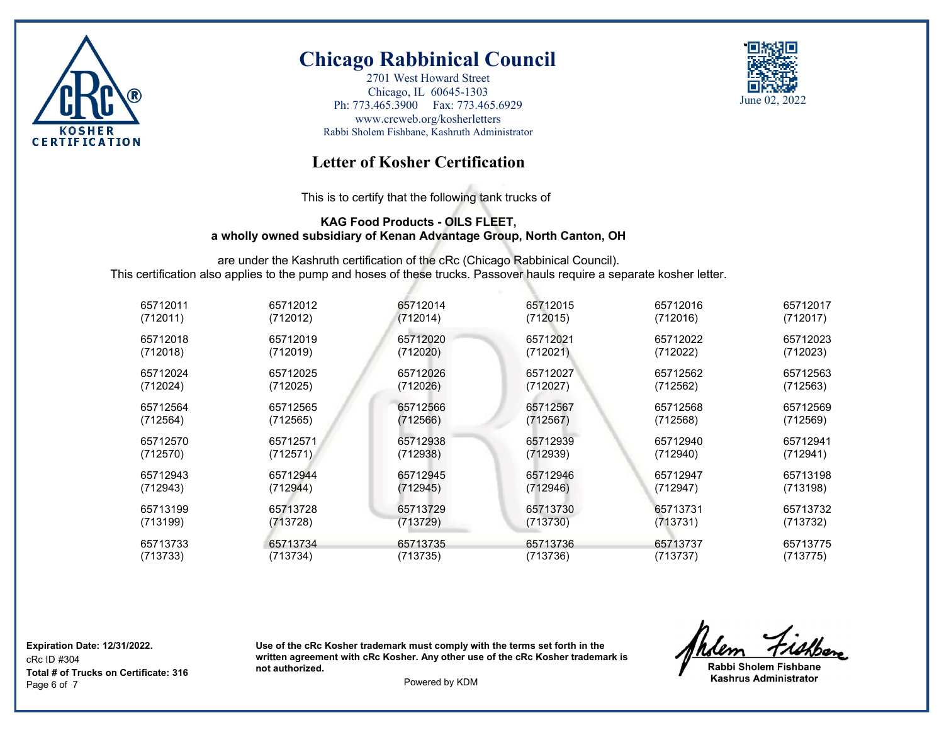

2701 West Howard Street Chicago, IL 60645-1303 Ph: 773.465.3900 Fax: 773.465.6929 www.crcweb.org/kosherletters Rabbi Sholem Fishbane, Kashruth Administrator



## **Letter of Kosher Certification**

This is to certify that the following tank trucks of

### **KAG Food Products - OILS FLEET, a wholly owned subsidiary of Kenan Advantage Group, North Canton, OH**

are under the Kashruth certification of the cRc (Chicago Rabbinical Council). This certification also applies to the pump and hoses of these trucks. Passover hauls require a separate kosher letter.

| 65712011 | 65712012 | 65712014 | 65712015 | 65712016 | 65712017 |
|----------|----------|----------|----------|----------|----------|
| (712011) | (712012) | (712014) | (712015) | (712016) | (712017) |
| 65712018 | 65712019 | 65712020 | 65712021 | 65712022 | 65712023 |
| (712018) | (712019) | (712020) | (712021) | (712022) | (712023) |
| 65712024 | 65712025 | 65712026 | 65712027 | 65712562 | 65712563 |
| (712024) | (712025) | (712026) | (712027) | (712562) | (712563) |
| 65712564 | 65712565 | 65712566 | 65712567 | 65712568 | 65712569 |
| (712564) | (712565) | (712566) | (712567) | (712568) | (712569) |
| 65712570 | 65712571 | 65712938 | 65712939 | 65712940 | 65712941 |
| (712570) | (712571) | (712938) | (712939) | (712940) | (712941) |
| 65712943 | 65712944 | 65712945 | 65712946 | 65712947 | 65713198 |
| (712943) | (712944) | (712945) | (712946) | (712947) | (713198) |
| 65713199 | 65713728 | 65713729 | 65713730 | 65713731 | 65713732 |
| (713199) | (713728) | (713729) | (713730) | (713731) | (713732) |
| 65713733 | 65713734 | 65713735 | 65713736 | 65713737 | 65713775 |
| (713733) | (713734) | (713735) | (713736) | (713737) | (713775) |

**Expiration Date: 12/31/2022.**

cRc ID #304 Page 6 of 7 Powered by KDM **Total # of Trucks on Certificate: 316**

Rabbi Sholem Fishbane **Kashrus Administrator**